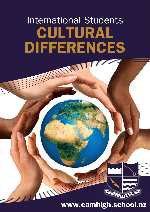# International Students CULTURAL DIFFERENCES

# www.camhigh.school.nz

FORTITER ET RECTE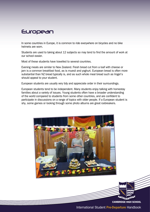#### European

In some countries in Europe, it is common to ride everywhere on bicycles and no bike helmets are worn.

Students are used to taking about 12 subjects so may tend to find the amount of work at our school easier.

Most of these students have travelled to several countries.

Evening meals are similar to New Zealand. Fresh bread cut from a loaf with cheese or jam is a common breakfast food, as is muesli and yoghurt. European bread is often more substantial than NZ bread typically is, and as such whole meal bread such as Vogel's should appeal to your student.

European students are usually very tidy and appreciate order in their surroundings.

European students tend to be independent. Many students enjoy talking with homestay families about a variety of issues. Young students often have a broader understanding of the world compared to students from some other countries, and are confident to participate in discussions on a range of topics with older people. If a European student is shy, some games or looking through some photo albums are great icebreakers.



CAMBRIDGE HIGH SCHOOL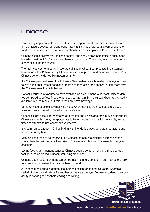#### Chinese

Food is very important in Chinese culture. The preperation of food can be an art form and a major leisure activity. Different foods have significance attached and combinations of food are sometimes important. Also nutrition has a distinct place in Chinese healthcare.

Chinese people believe that, to keep healthy, one should have something nutritious for breakfast, eat until full for lunch and have a light supper. That's why lunch is regarded as dinner all around the country.

The main courses for most Chinese are still rice or wheat flour products like steamed buns or noodles. Potato is only taken as a kind of vegetable and bread as a snack. Most Chinese generally do not like mutton or lamb.

If a Chinese person doesn't like to have a New Zealand style breakfast, it is a good idea to give him or her instant noodles or toast and fried eggs for a change, or left overs from the Chinese meal the night before.

Hot chilli sauce is a favourite to have available as a condiment. Also most Chinese drink tea compared to coffee. They are not used to having milk in their tea. Green tea is readily available in supermarkets, if this is their preferred beverage.

Some Chinese people enjoy making a noise when they eat their food as it is a way of showing their appreciation for what they are eating.

Chopsticks are difficult for Westerners to master and knives and forks may be difficult for Chinese students. It may be appropriate to have spoons or chopsticks available, and at times to attempt to use chopsticks yourselves.

It is common to eat out in China. Mixing with friends is always done at a restaurant and not in the family home.

Most Chinese tend to be reserved. If a Chinese person has difficulty expressing their ideas, then they will perhaps keep silent. Chinese are often good listeners but not good speakers.

Losing face is an important concept. Chinese people do not enjoy being made to look foolish, or to be placed in uncompromising situations.

Chinese often react to embarrassment by laughing and a smile or "Yes" may be the reply to a question or remark that has not been understood.

A Chinese High School graduate has learned English for at least six years. After this period of time they will study for another two years at college. For many students their oral ability is not as good as their reading and writing.

CAMBRIDGE HIGH SCHOOL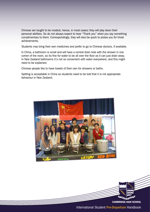Chinese are taught to be modest, hence, in most cases; they will play down their personal abilities. So do not always expect to hear "Thank you" when you say something complimentary to them. Correspondingly, they will also be quick to praise you for trivial achievements.

Students may bring their own medicines and prefer to go to Chinese doctors, if available.

In China, a bathroom is small and will have a central drain hole with the shower in one corner of the room, so its fine for water to be all over the floor as it can just drain away. In New Zealand bathrooms it's not so convenient with water everywhere, and this might need to be explained.

Chinese people like to have towels of their own for showers or baths.

Spitting is acceptable in China so students need to be told that it is not appropriate behaviour in New Zealand.



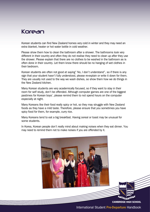#### Korean

Korean students can find New Zealand homes very cold in winter and they may need an extra blanket, heater or hot water bottle in cold weather.

Please show them how to clean the bathroom after a shower. The bathrooms look very different in their country and often they do not realise they need to clean up after they use the shower. Please explain that there are no clothes to be washed in the bathroom as is often done in their country. Let them know there should be no hanging of wet clothes in their bedroom.

Korean students are often not good at saying" No, I don't understand", so if there is any sign that your student hasn't fully understood, please re-explain or write it down for them. They are usually not used to the way we wash dishes, so show them how we do things in the New Zealand kitchen.

Many Korean students are very academically focused, so if they want to stay in their room for self study, don't be offended. Although computer games are one of the biggest pastimes for Korean boys', please remind them to not spend hours on the computer especially at night.

Many Koreans like their food really spicy or hot, so they may struggle with New Zealand foods as they have a mild taste. Therefore, please ensure that you sometimes you have spicy food for them, for example, curry rice.

Many Koreans tend to eat a big breakfast. Having cereal or toast may be unusual for some students.

In Korea, Korean people don't really mind about making noises when they eat dinner. You may need to remind them not to make noises if you are offended by it.

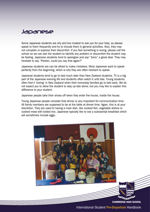#### Japanese

Some Japanese students are shy and too modest to ask you for your help, so please speak to them frequently and try to include them in general activities. Also, they may not complain or express their discomfort. If you feel something is wrong, please call the school so we can ask the student to identify any problem or discomfort the student may be feeling. Japanese students tend to apologise and say" Sorry" a great deal. They may hesitate to say "Pardon, could you say that again?"

Japanese students are can be afraid to make mistakes. Most Japanese want to speak perfectly from the beginning, which is why they are often hesitant to speak.

Japanese students tend to go to bed much later than New Zealand students. TV is a big part of the Japanese evening life and students often watch it until late. Young students often find it 'boring' in New Zealand when their homestay families go to bed early. We do not expect you to allow the student to stay up late alone, but you may like to explain this difference to your student.

Japanese people take their shoes off when they enter the house, inside the house.

Young Japanese people consider that dinner is very important for communication time. All family members are supposed to be at the table at dinner time. Again, this is at your discretion. They are used to having a main dish, like cooked fish, vegetable dishes or cooked meat with boiled rice. Japanese typically like to eat a substantial breakfast which will sometimes include eggs.

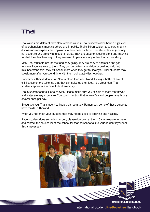# Thai

Thai values are different from New Zealand values. Thai students often have a high level of apprehension in meeting others and in public. Thai children seldom take part in family discussions or express their opinions to their parents. Most Thai students are generally not assertive and are shy and quiet in class. They are used to keeping silent and listening to what their teachers say or they are used to passive study rather than active study.

Most Thai students are indirect and easy going. They are easy to approach and get to know if you are nice to them. They can be quite shy and don't speak up – do not misunderstand this; they will speak more when they get to know you. Thai students may speak more after you spend time with them doing activities together.

Sometimes Thai students find New Zealand food a bit bland. Having a bottle of sweet chilli sauce on the table, so that they can spice up their food, is a great idea. Thai students appreciate access to fruit every day.

Thai students tend to like to shower. Please make sure you explain to them that power and water are very expensive. You could mention that in New Zealand people usually only shower once per day.

Encourage your Thai student to keep their room tidy. Remember, some of these students have maids in Thailand.

When you first meet your student, they may not be used to touching and hugging.

If your student does something wrong, please don't yell at them. Calmly explain to them and contact the counsellor at the school for that person to talk to your student if you feel this is necessary.

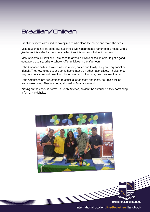### Brazilian/Chilean

Brazilian students are used to having maids who clean the house and make the beds.

Most students in large cities like Sao Paulo live in apartments rather than a house with a garden as it is safer for them. In smaller cities it is common to live in houses.

Most students in Brazil and Chile need to attend a private school in order to get a good education. Usually, private schools offer activities in the afternoon.

Latin American culture revolves around music, dance and family. They are very social and friendly. They love to go out and come home later than other nationalities. It helps to be very communicative and have them become a part of the family, as they love to chat.

Latin Americans are accustomed to eating a lot of pasta and meat, so BBQ's will be warmly welcomed. They are not at all used to Asian style food.

Kissing on the cheek is normal in South America, so don't be surprised if they don't adopt a formal handshake.



International Student Pre-Departure Handbook

CAMBRIDGE HIGH SCHOOL